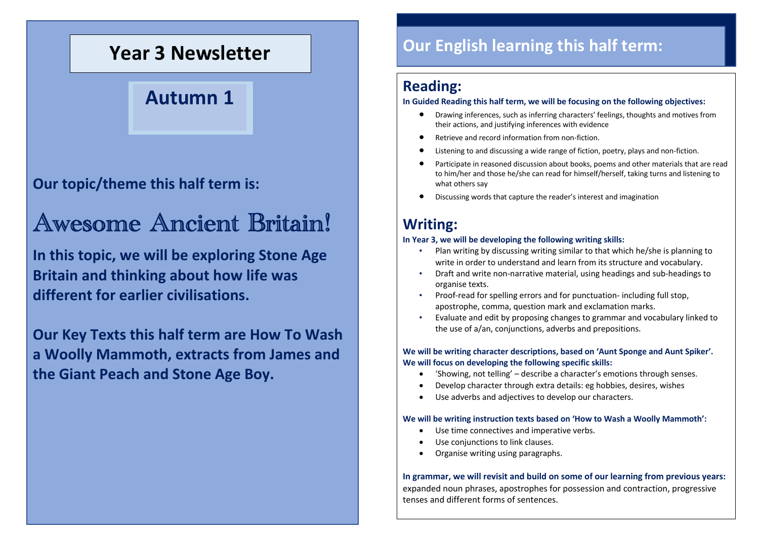# **Year 3 Newsletter**

# **Autumn 1**

**Our topic/theme this half term is:**

# Awesome Ancient Britain!

**In this topic, we will be exploring Stone Age Britain and thinking about how life was different for earlier civilisations.** 

**Our Key Texts this half term are How To Wash a Woolly Mammoth, extracts from James and the Giant Peach and Stone Age Boy.**

## **Our English learning this half term:**

## **Reading:**

#### **In Guided Reading this half term, we will be focusing on the following objectives:**

- Drawing inferences, such as inferring characters' feelings, thoughts and motives from their actions, and justifying inferences with evidence
- Retrieve and record information from non-fiction.
- Listening to and discussing a wide range of fiction, poetry, plays and non-fiction.
- Participate in reasoned discussion about books, poems and other materials that are read to him/her and those he/she can read for himself/herself, taking turns and listening to what others say
- Discussing words that capture the reader's interest and imagination

## **Writing:**

#### **In Year 3, we will be developing the following writing skills:**

- Plan writing by discussing writing similar to that which he/she is planning to write in order to understand and learn from its structure and vocabulary.
- Draft and write non-narrative material, using headings and sub-headings to organise texts.
- Proof-read for spelling errors and for punctuation- including full stop, apostrophe, comma, question mark and exclamation marks.
- Evaluate and edit by proposing changes to grammar and vocabulary linked to the use of a/an, conjunctions, adverbs and prepositions.

#### **We will be writing character descriptions, based on 'Aunt Sponge and Aunt Spiker'. We will focus on developing the following specific skills:**

- 'Showing, not telling' describe a character's emotions through senses.
- Develop character through extra details: eg hobbies, desires, wishes
- Use adverbs and adjectives to develop our characters.

#### **We will be writing instruction texts based on 'How to Wash a Woolly Mammoth':**

- Use time connectives and imperative verbs.
- Use conjunctions to link clauses.
- Organise writing using paragraphs.

**In grammar, we will revisit and build on some of our learning from previous years:**  expanded noun phrases, apostrophes for possession and contraction, progressive tenses and different forms of sentences.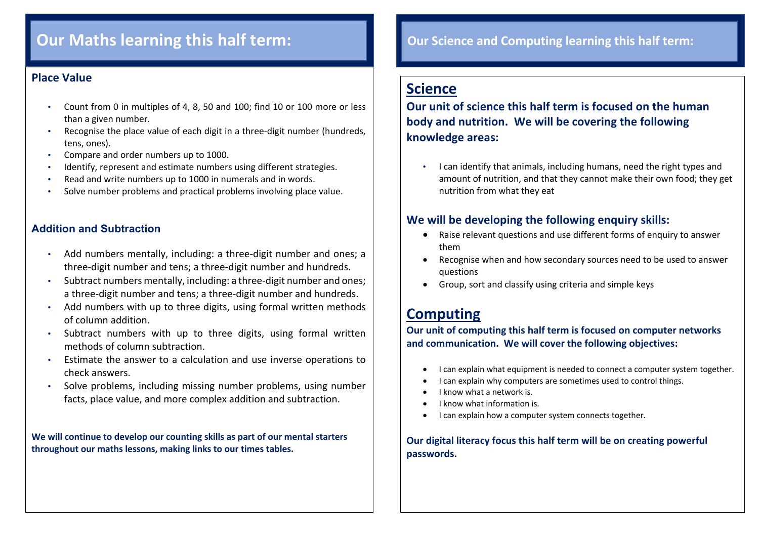## **Our Maths learning this half term:**

#### **Place Value**

- Count from 0 in multiples of 4, 8, 50 and 100; find 10 or 100 more or less than a given number.
- Recognise the place value of each digit in a three-digit number (hundreds, tens, ones).
- Compare and order numbers up to 1000.
- Identify, represent and estimate numbers using different strategies.
- Read and write numbers up to 1000 in numerals and in words.
- Solve number problems and practical problems involving place value.

#### **Addition and Subtraction**

- Add numbers mentally, including: a three-digit number and ones; a three-digit number and tens; a three-digit number and hundreds.
- Subtract numbers mentally, including: a three-digit number and ones; a three-digit number and tens; a three-digit number and hundreds.
- Add numbers with up to three digits, using formal written methods of column addition.
- Subtract numbers with up to three digits, using formal written methods of column subtraction.
- Estimate the answer to a calculation and use inverse operations to check answers.
- Solve problems, including missing number problems, using number facts, place value, and more complex addition and subtraction.

**We will continue to develop our counting skills as part of our mental starters throughout our maths lessons, making links to our times tables.**

## **Our Science and Computing learning this half term:**

## **Science**

**Our unit of science this half term is focused on the human body and nutrition. We will be covering the following knowledge areas:**

• I can identify that animals, including humans, need the right types and amount of nutrition, and that they cannot make their own food; they get nutrition from what they eat

#### **We will be developing the following enquiry skills:**

- Raise relevant questions and use different forms of enquiry to answer them
- Recognise when and how secondary sources need to be used to answer questions
- Group, sort and classify using criteria and simple keys

## **Computing**

**Our unit of computing this half term is focused on computer networks and communication. We will cover the following objectives:**

- I can explain what equipment is needed to connect a computer system together.
- I can explain why computers are sometimes used to control things.
- I know what a network is.
- I know what information is.
- I can explain how a computer system connects together.

**Our digital literacy focus this half term will be on creating powerful passwords.**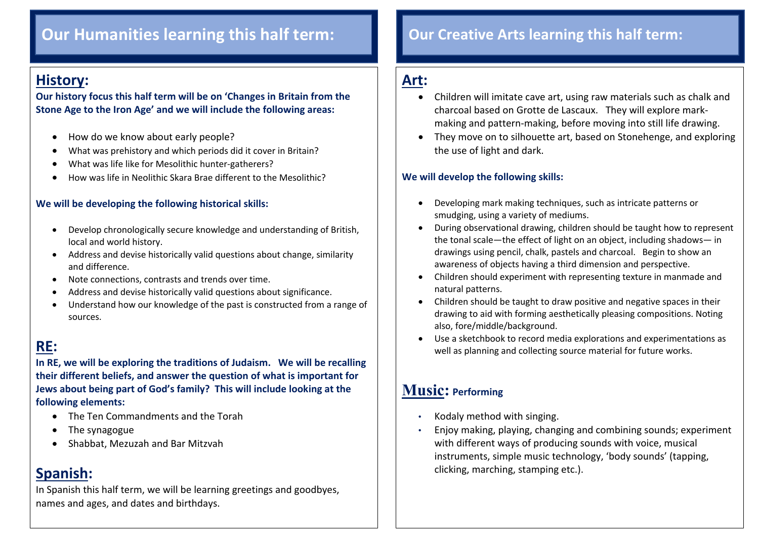## **Our Humanities learning this half term: Our Creative Arts learning this half term:**

## **History:**

 $\overline{\phantom{a}}$ 

**Our history focus this half term will be on 'Changes in Britain from the Stone Age to the Iron Age' and we will include the following areas:**

- How do we know about early people?
- What was prehistory and which periods did it cover in Britain?
- What was life like for Mesolithic hunter-gatherers?
- How was life in Neolithic Skara Brae different to the Mesolithic?

#### **We will be developing the following historical skills:**

- Develop chronologically secure knowledge and understanding of British, local and world history.
- Address and devise historically valid questions about change, similarity and difference.
- Note connections, contrasts and trends over time.
- Address and devise historically valid questions about significance.
- Understand how our knowledge of the past is constructed from a range of sources.

## **RE:**

**In RE, we will be exploring the traditions of Judaism. We will be recalling their different beliefs, and answer the question of what is important for Jews about being part of God's family? This will include looking at the following elements:**

- The Ten Commandments and the Torah
- The synagogue
- Shabbat, Mezuzah and Bar Mitzvah

## **Spanish:**

In Spanish this half term, we will be learning greetings and goodbyes, names and ages, and dates and birthdays.

## **Art:**

- Children will imitate cave art, using raw materials such as chalk and charcoal based on Grotte de Lascaux. They will explore markmaking and pattern-making, before moving into still life drawing.
- They move on to silhouette art, based on Stonehenge, and exploring the use of light and dark.

#### **We will develop the following skills:**

- Developing mark making techniques, such as intricate patterns or smudging, using a variety of mediums.
- During observational drawing, children should be taught how to represent the tonal scale—the effect of light on an object, including shadows— in drawings using pencil, chalk, pastels and charcoal. Begin to show an awareness of objects having a third dimension and perspective.
- Children should experiment with representing texture in manmade and natural patterns.
- Children should be taught to draw positive and negative spaces in their drawing to aid with forming aesthetically pleasing compositions. Noting also, fore/middle/background.
- Use a sketchbook to record media explorations and experimentations as well as planning and collecting source material for future works.

## **Music: Performing**

- Kodaly method with singing.
- Enjoy making, playing, changing and combining sounds; experiment with different ways of producing sounds with voice, musical instruments, simple music technology, 'body sounds' (tapping, clicking, marching, stamping etc.).